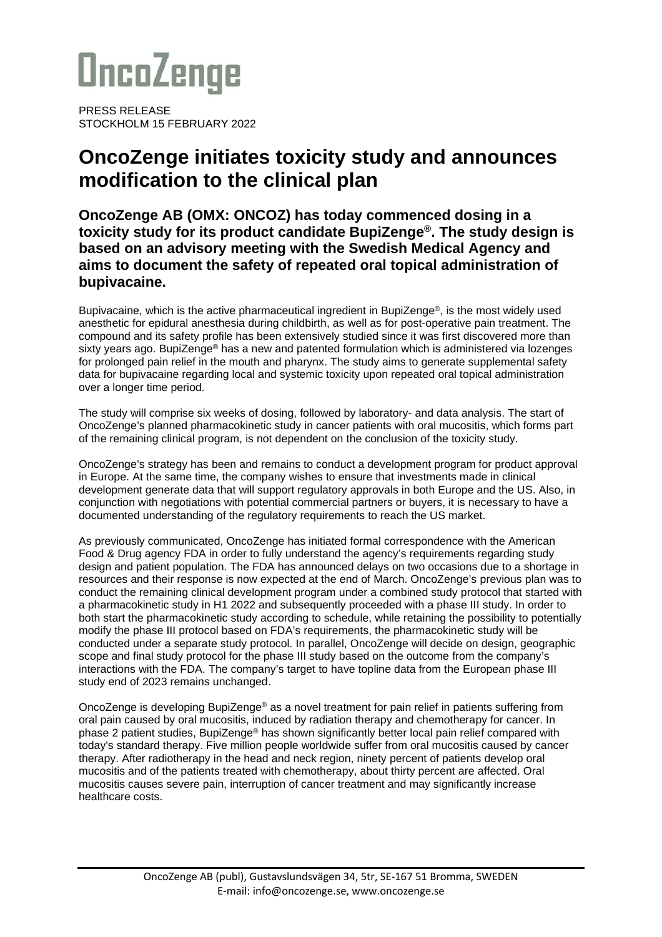# **OncoZenge**

PRESS RELEASE STOCKHOLM 15 FEBRUARY 2022

### **OncoZenge initiates toxicity study and announces modification to the clinical plan**

**OncoZenge AB (OMX: ONCOZ) has today commenced dosing in a toxicity study for its product candidate BupiZenge®. The study design is based on an advisory meeting with the Swedish Medical Agency and aims to document the safety of repeated oral topical administration of bupivacaine.**

Bupivacaine, which is the active pharmaceutical ingredient in BupiZenge®, is the most widely used anesthetic for epidural anesthesia during childbirth, as well as for post-operative pain treatment. The compound and its safety profile has been extensively studied since it was first discovered more than sixty years ago. BupiZenge<sup>®</sup> has a new and patented formulation which is administered via lozenges for prolonged pain relief in the mouth and pharynx. The study aims to generate supplemental safety data for bupivacaine regarding local and systemic toxicity upon repeated oral topical administration over a longer time period.

The study will comprise six weeks of dosing, followed by laboratory- and data analysis. The start of OncoZenge's planned pharmacokinetic study in cancer patients with oral mucositis, which forms part of the remaining clinical program, is not dependent on the conclusion of the toxicity study.

OncoZenge's strategy has been and remains to conduct a development program for product approval in Europe. At the same time, the company wishes to ensure that investments made in clinical development generate data that will support regulatory approvals in both Europe and the US. Also, in conjunction with negotiations with potential commercial partners or buyers, it is necessary to have a documented understanding of the regulatory requirements to reach the US market.

As previously communicated, OncoZenge has initiated formal correspondence with the American Food & Drug agency FDA in order to fully understand the agency's requirements regarding study design and patient population. The FDA has announced delays on two occasions due to a shortage in resources and their response is now expected at the end of March. OncoZenge's previous plan was to conduct the remaining clinical development program under a combined study protocol that started with a pharmacokinetic study in H1 2022 and subsequently proceeded with a phase III study. In order to both start the pharmacokinetic study according to schedule, while retaining the possibility to potentially modify the phase III protocol based on FDA's requirements, the pharmacokinetic study will be conducted under a separate study protocol. In parallel, OncoZenge will decide on design, geographic scope and final study protocol for the phase III study based on the outcome from the company's interactions with the FDA. The company's target to have topline data from the European phase III study end of 2023 remains unchanged.

OncoZenge is developing BupiZenge® as a novel treatment for pain relief in patients suffering from oral pain caused by oral mucositis, induced by radiation therapy and chemotherapy for cancer. In phase 2 patient studies, BupiZenge® has shown significantly better local pain relief compared with today's standard therapy. Five million people worldwide suffer from oral mucositis caused by cancer therapy. After radiotherapy in the head and neck region, ninety percent of patients develop oral mucositis and of the patients treated with chemotherapy, about thirty percent are affected. Oral mucositis causes severe pain, interruption of cancer treatment and may significantly increase healthcare costs.